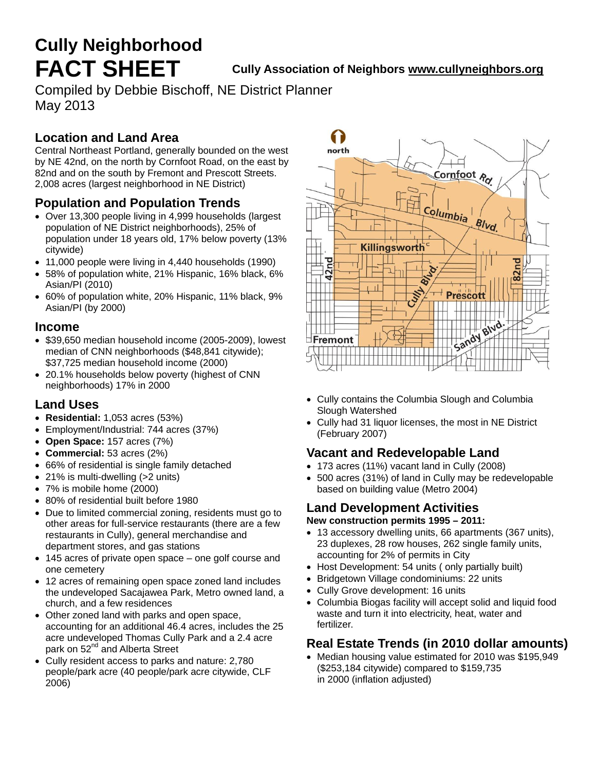# **Cully Neighborhood**

**FACT SHEET Cully Association of Neighbors [www.cullyneighbors.org](http://www.cullyneighbors.org/)** 

Compiled by Debbie Bischoff, NE District Planner May 2013

#### **Location and Land Area**

Central Northeast Portland, generally bounded on the west by NE 42nd, on the north by Cornfoot Road, on the east by 82nd and on the south by Fremont and Prescott Streets. 2,008 acres (largest neighborhood in NE District)

## **Population and Population Trends**

- Over 13,300 people living in 4,999 households (largest population of NE District neighborhoods), 25% of population under 18 years old, 17% below poverty (13% citywide)
- 11,000 people were living in 4,440 households (1990)
- 58% of population white, 21% Hispanic, 16% black, 6% Asian/PI (2010)
- 60% of population white, 20% Hispanic, 11% black, 9% Asian/PI (by 2000)

#### **Income**

- \$39,650 median household income (2005-2009), lowest median of CNN neighborhoods (\$48,841 citywide); \$37,725 median household income (2000)
- 20.1% households below poverty (highest of CNN neighborhoods) 17% in 2000

#### **Land Uses**

- **Residential:** 1,053 acres (53%)
- Employment/Industrial: 744 acres (37%)
- **Open Space:** 157 acres (7%)
- **Commercial:** 53 acres (2%)
- 66% of residential is single family detached
- 21% is multi-dwelling (>2 units)
- 7% is mobile home (2000)
- 80% of residential built before 1980
- Due to limited commercial zoning, residents must go to other areas for full-service restaurants (there are a few restaurants in Cully), general merchandise and department stores, and gas stations
- 145 acres of private open space one golf course and one cemetery
- 12 acres of remaining open space zoned land includes the undeveloped Sacajawea Park, Metro owned land, a church, and a few residences
- Other zoned land with parks and open space, accounting for an additional 46.4 acres, includes the 25 acre undeveloped Thomas Cully Park and a 2.4 acre park on 52<sup>nd</sup> and Alberta Street
- Cully resident access to parks and nature: 2,780 people/park acre (40 people/park acre citywide, CLF 2006)



- Cully contains the Columbia Slough and Columbia Slough Watershed
- Cully had 31 liquor licenses, the most in NE District (February 2007)

#### **Vacant and Redevelopable Land**

- 173 acres (11%) vacant land in Cully (2008)
- 500 acres (31%) of land in Cully may be redevelopable based on building value (Metro 2004)

## **Land Development Activities**

#### **New construction permits 1995 – 2011:**

- 13 accessory dwelling units, 66 apartments (367 units), 23 duplexes, 28 row houses, 262 single family units, accounting for 2% of permits in City
- Host Development: 54 units (only partially built)
- Bridgetown Village condominiums: 22 units
- Cully Grove development: 16 units
- Columbia Biogas facility will accept solid and liquid food waste and turn it into electricity, heat, water and fertilizer.

#### **Real Estate Trends (in 2010 dollar amounts)**

 Median housing value estimated for 2010 was \$195,949 (\$253,184 citywide) compared to \$159,735 in 2000 (inflation adjusted)